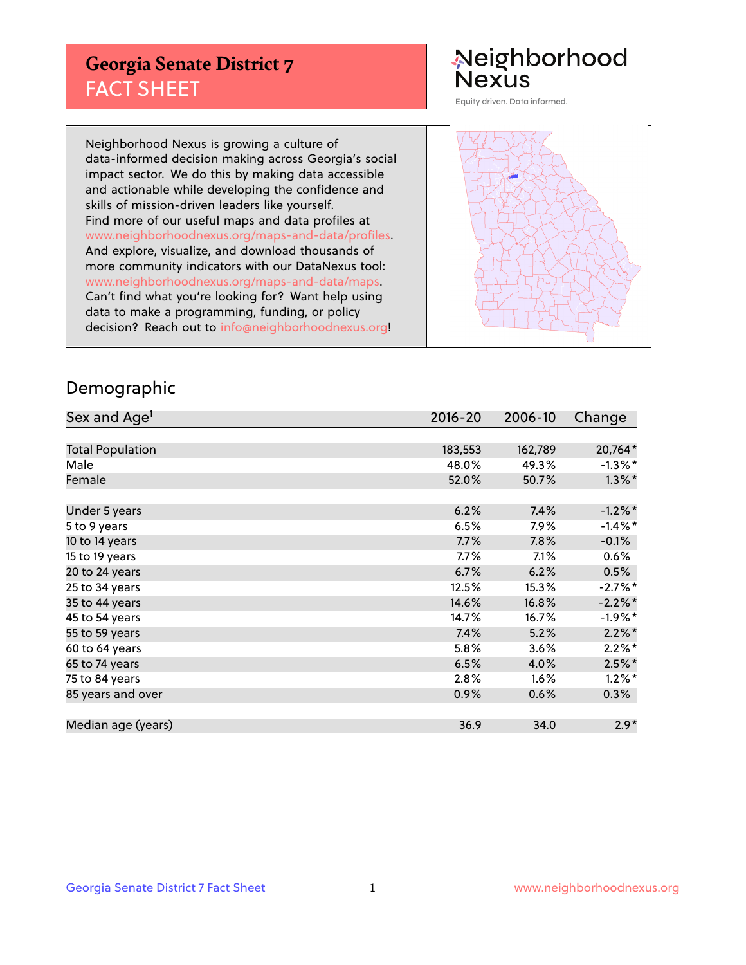## **Georgia Senate District 7** FACT SHEET

# Neighborhood<br>Nexus

Equity driven. Data informed.

Neighborhood Nexus is growing a culture of data-informed decision making across Georgia's social impact sector. We do this by making data accessible and actionable while developing the confidence and skills of mission-driven leaders like yourself. Find more of our useful maps and data profiles at www.neighborhoodnexus.org/maps-and-data/profiles. And explore, visualize, and download thousands of more community indicators with our DataNexus tool: www.neighborhoodnexus.org/maps-and-data/maps. Can't find what you're looking for? Want help using data to make a programming, funding, or policy decision? Reach out to [info@neighborhoodnexus.org!](mailto:info@neighborhoodnexus.org)



### Demographic

| Sex and Age <sup>1</sup> | $2016 - 20$ | 2006-10 | Change     |
|--------------------------|-------------|---------|------------|
|                          |             |         |            |
| <b>Total Population</b>  | 183,553     | 162,789 | 20,764*    |
| Male                     | 48.0%       | 49.3%   | $-1.3\%$ * |
| Female                   | 52.0%       | 50.7%   | $1.3\%$ *  |
|                          |             |         |            |
| Under 5 years            | 6.2%        | 7.4%    | $-1.2\%$ * |
| 5 to 9 years             | 6.5%        | 7.9%    | $-1.4\%$ * |
| 10 to 14 years           | 7.7%        | 7.8%    | $-0.1%$    |
| 15 to 19 years           | 7.7%        | 7.1%    | 0.6%       |
| 20 to 24 years           | 6.7%        | 6.2%    | 0.5%       |
| 25 to 34 years           | 12.5%       | 15.3%   | $-2.7%$ *  |
| 35 to 44 years           | 14.6%       | 16.8%   | $-2.2\%$ * |
| 45 to 54 years           | 14.7%       | 16.7%   | $-1.9%$ *  |
| 55 to 59 years           | 7.4%        | 5.2%    | $2.2\%$ *  |
| 60 to 64 years           | 5.8%        | 3.6%    | $2.2\%$ *  |
| 65 to 74 years           | 6.5%        | 4.0%    | $2.5%$ *   |
| 75 to 84 years           | 2.8%        | 1.6%    | $1.2\%$ *  |
| 85 years and over        | 0.9%        | 0.6%    | 0.3%       |
|                          |             |         |            |
| Median age (years)       | 36.9        | 34.0    | $2.9*$     |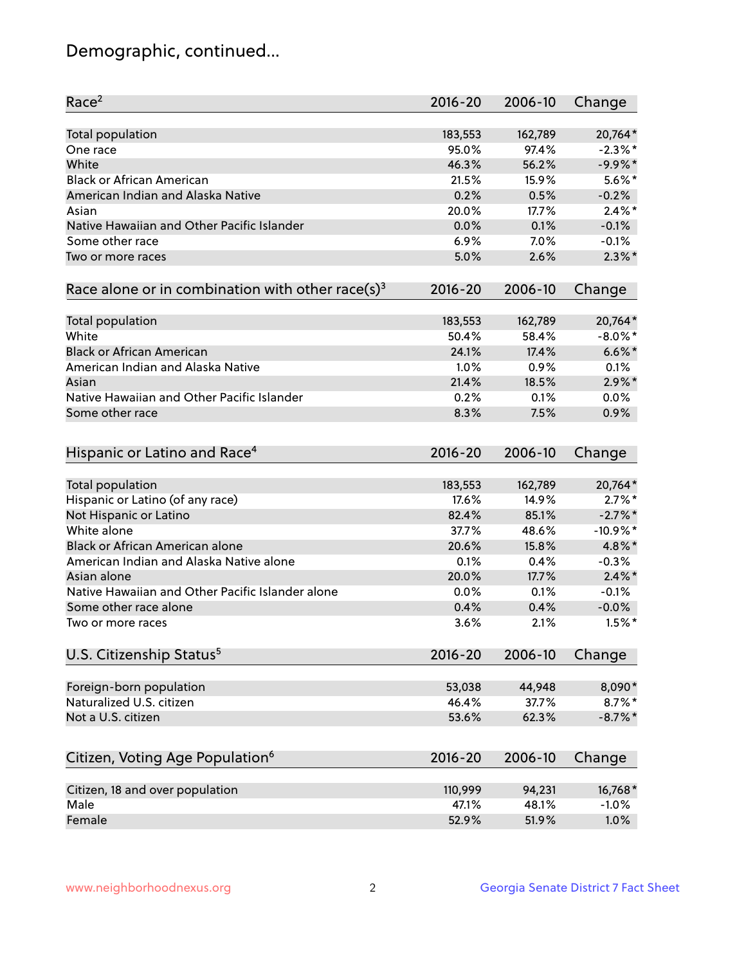## Demographic, continued...

| Race <sup>2</sup>                                            | $2016 - 20$ | 2006-10 | Change     |
|--------------------------------------------------------------|-------------|---------|------------|
| Total population                                             | 183,553     | 162,789 | 20,764*    |
| One race                                                     | 95.0%       | 97.4%   | $-2.3\%$ * |
| White                                                        | 46.3%       | 56.2%   | $-9.9%$ *  |
| <b>Black or African American</b>                             | 21.5%       | 15.9%   | $5.6\%$ *  |
| American Indian and Alaska Native                            | 0.2%        | 0.5%    | $-0.2%$    |
| Asian                                                        | 20.0%       | 17.7%   | $2.4\%$ *  |
| Native Hawaiian and Other Pacific Islander                   | 0.0%        | 0.1%    | $-0.1%$    |
| Some other race                                              | 6.9%        | 7.0%    | $-0.1%$    |
| Two or more races                                            | 5.0%        | 2.6%    | $2.3\%$ *  |
| Race alone or in combination with other race(s) <sup>3</sup> | $2016 - 20$ | 2006-10 | Change     |
| Total population                                             | 183,553     | 162,789 | 20,764*    |
| White                                                        | 50.4%       | 58.4%   | $-8.0\%$ * |
| <b>Black or African American</b>                             | 24.1%       | 17.4%   | $6.6\%$ *  |
| American Indian and Alaska Native                            | 1.0%        | 0.9%    | 0.1%       |
| Asian                                                        | 21.4%       | 18.5%   | $2.9\%$ *  |
| Native Hawaiian and Other Pacific Islander                   | 0.2%        | 0.1%    | 0.0%       |
| Some other race                                              | 8.3%        | 7.5%    | 0.9%       |
| Hispanic or Latino and Race <sup>4</sup>                     | $2016 - 20$ | 2006-10 | Change     |
| Total population                                             | 183,553     | 162,789 | 20,764*    |
| Hispanic or Latino (of any race)                             | 17.6%       | 14.9%   | $2.7\%$ *  |
| Not Hispanic or Latino                                       | 82.4%       | 85.1%   | $-2.7%$ *  |
| White alone                                                  | 37.7%       | 48.6%   | $-10.9%$ * |
| Black or African American alone                              | 20.6%       | 15.8%   | 4.8%*      |
| American Indian and Alaska Native alone                      | 0.1%        | 0.4%    | $-0.3%$    |
| Asian alone                                                  | 20.0%       | 17.7%   | $2.4\%$ *  |
| Native Hawaiian and Other Pacific Islander alone             | 0.0%        | 0.1%    | $-0.1%$    |
| Some other race alone                                        | 0.4%        | 0.4%    | $-0.0%$    |
| Two or more races                                            | 3.6%        | 2.1%    | $1.5%$ *   |
| U.S. Citizenship Status <sup>5</sup>                         | $2016 - 20$ | 2006-10 | Change     |
|                                                              |             |         |            |
| Foreign-born population                                      | 53,038      | 44,948  | 8,090*     |
| Naturalized U.S. citizen                                     | 46.4%       | 37.7%   | $8.7\%$ *  |
| Not a U.S. citizen                                           | 53.6%       | 62.3%   | $-8.7\%$ * |
|                                                              |             |         |            |
| Citizen, Voting Age Population <sup>6</sup>                  | $2016 - 20$ | 2006-10 | Change     |
| Citizen, 18 and over population                              | 110,999     | 94,231  | 16,768*    |
| Male                                                         | 47.1%       | 48.1%   | $-1.0%$    |
| Female                                                       | 52.9%       | 51.9%   | 1.0%       |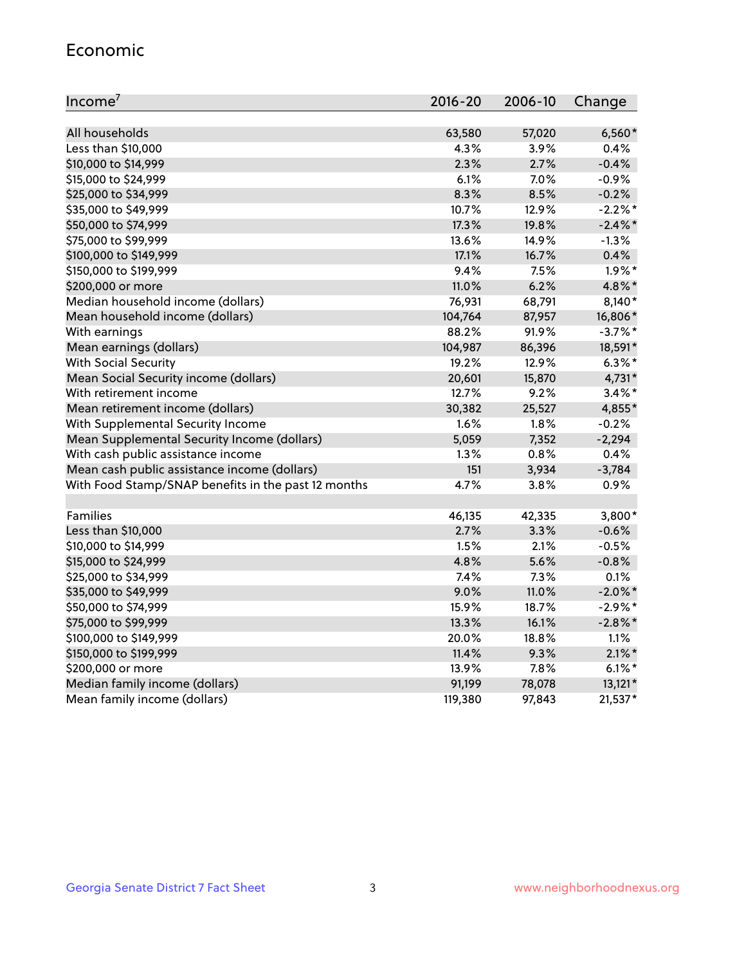#### Economic

| Income <sup>7</sup>                                 | $2016 - 20$ | 2006-10 | Change     |
|-----------------------------------------------------|-------------|---------|------------|
|                                                     |             |         |            |
| All households                                      | 63,580      | 57,020  | $6,560*$   |
| Less than \$10,000                                  | 4.3%        | 3.9%    | 0.4%       |
| \$10,000 to \$14,999                                | 2.3%        | 2.7%    | $-0.4%$    |
| \$15,000 to \$24,999                                | 6.1%        | 7.0%    | $-0.9%$    |
| \$25,000 to \$34,999                                | 8.3%        | 8.5%    | $-0.2%$    |
| \$35,000 to \$49,999                                | 10.7%       | 12.9%   | $-2.2%$ *  |
| \$50,000 to \$74,999                                | 17.3%       | 19.8%   | $-2.4\%$ * |
| \$75,000 to \$99,999                                | 13.6%       | 14.9%   | $-1.3%$    |
| \$100,000 to \$149,999                              | 17.1%       | 16.7%   | 0.4%       |
| \$150,000 to \$199,999                              | 9.4%        | 7.5%    | $1.9\%$ *  |
| \$200,000 or more                                   | 11.0%       | 6.2%    | 4.8%*      |
| Median household income (dollars)                   | 76,931      | 68,791  | 8,140*     |
| Mean household income (dollars)                     | 104,764     | 87,957  | 16,806*    |
| With earnings                                       | 88.2%       | 91.9%   | $-3.7%$ *  |
| Mean earnings (dollars)                             | 104,987     | 86,396  | 18,591*    |
| <b>With Social Security</b>                         | 19.2%       | 12.9%   | $6.3\%$ *  |
| Mean Social Security income (dollars)               | 20,601      | 15,870  | 4,731*     |
| With retirement income                              | 12.7%       | 9.2%    | $3.4\%$ *  |
| Mean retirement income (dollars)                    | 30,382      | 25,527  | 4,855*     |
| With Supplemental Security Income                   | $1.6\%$     | 1.8%    | $-0.2%$    |
| Mean Supplemental Security Income (dollars)         | 5,059       | 7,352   | $-2,294$   |
| With cash public assistance income                  | 1.3%        | 0.8%    | 0.4%       |
| Mean cash public assistance income (dollars)        | 151         | 3,934   | $-3,784$   |
| With Food Stamp/SNAP benefits in the past 12 months | 4.7%        | 3.8%    | 0.9%       |
|                                                     |             |         |            |
| Families                                            | 46,135      | 42,335  | 3,800*     |
| Less than \$10,000                                  | 2.7%        | 3.3%    | $-0.6%$    |
| \$10,000 to \$14,999                                | 1.5%        | 2.1%    | $-0.5%$    |
| \$15,000 to \$24,999                                | 4.8%        | 5.6%    | $-0.8%$    |
| \$25,000 to \$34,999                                | 7.4%        | 7.3%    | 0.1%       |
| \$35,000 to \$49,999                                | 9.0%        | 11.0%   | $-2.0\%$ * |
| \$50,000 to \$74,999                                | 15.9%       | 18.7%   | $-2.9%$ *  |
| \$75,000 to \$99,999                                | 13.3%       | 16.1%   | $-2.8\%$ * |
| \$100,000 to \$149,999                              | 20.0%       | 18.8%   | 1.1%       |
| \$150,000 to \$199,999                              | 11.4%       | 9.3%    | $2.1\%$ *  |
| \$200,000 or more                                   | 13.9%       | 7.8%    | $6.1\%$ *  |
| Median family income (dollars)                      | 91,199      | 78,078  | $13,121*$  |
| Mean family income (dollars)                        | 119,380     | 97,843  | 21,537*    |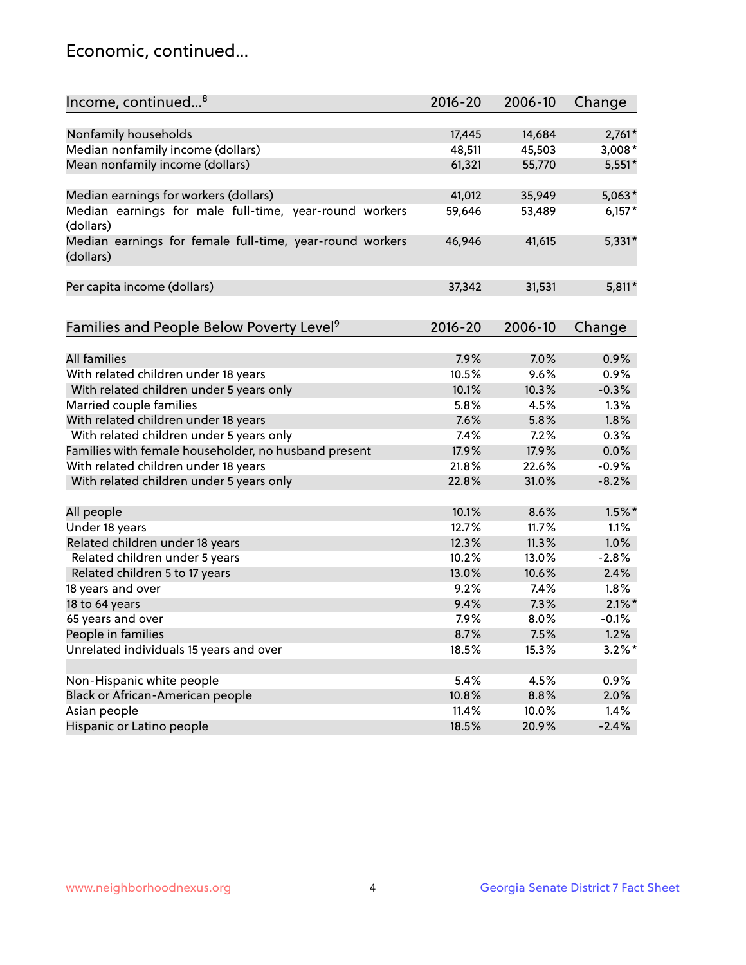## Economic, continued...

| Income, continued <sup>8</sup>                           | $2016 - 20$ | 2006-10 | Change    |
|----------------------------------------------------------|-------------|---------|-----------|
|                                                          |             |         |           |
| Nonfamily households                                     | 17,445      | 14,684  | $2,761*$  |
| Median nonfamily income (dollars)                        | 48,511      | 45,503  | $3,008*$  |
| Mean nonfamily income (dollars)                          | 61,321      | 55,770  | $5,551*$  |
| Median earnings for workers (dollars)                    | 41,012      | 35,949  | $5,063*$  |
| Median earnings for male full-time, year-round workers   | 59,646      | 53,489  | $6,157*$  |
| (dollars)                                                |             |         |           |
| Median earnings for female full-time, year-round workers | 46,946      | 41,615  | $5,331*$  |
| (dollars)                                                |             |         |           |
| Per capita income (dollars)                              | 37,342      | 31,531  | $5,811*$  |
|                                                          |             |         |           |
| Families and People Below Poverty Level <sup>9</sup>     | $2016 - 20$ | 2006-10 | Change    |
|                                                          |             |         |           |
| <b>All families</b>                                      | 7.9%        | 7.0%    | 0.9%      |
| With related children under 18 years                     | 10.5%       | 9.6%    | 0.9%      |
| With related children under 5 years only                 | 10.1%       | 10.3%   | $-0.3%$   |
| Married couple families                                  | 5.8%        | 4.5%    | 1.3%      |
| With related children under 18 years                     | 7.6%        | 5.8%    | 1.8%      |
| With related children under 5 years only                 | 7.4%        | 7.2%    | 0.3%      |
| Families with female householder, no husband present     | 17.9%       | 17.9%   | 0.0%      |
| With related children under 18 years                     | 21.8%       | 22.6%   | $-0.9%$   |
| With related children under 5 years only                 | 22.8%       | 31.0%   | $-8.2%$   |
| All people                                               | 10.1%       | 8.6%    | $1.5\%$ * |
| Under 18 years                                           | 12.7%       | 11.7%   | 1.1%      |
| Related children under 18 years                          | 12.3%       | 11.3%   | 1.0%      |
| Related children under 5 years                           | 10.2%       | 13.0%   | $-2.8%$   |
| Related children 5 to 17 years                           | 13.0%       | 10.6%   | 2.4%      |
| 18 years and over                                        | 9.2%        | 7.4%    | 1.8%      |
| 18 to 64 years                                           | 9.4%        | 7.3%    | $2.1\%$ * |
| 65 years and over                                        | 7.9%        | 8.0%    | $-0.1%$   |
| People in families                                       | 8.7%        | 7.5%    | 1.2%      |
| Unrelated individuals 15 years and over                  | 18.5%       | 15.3%   | $3.2\%$ * |
|                                                          |             |         |           |
| Non-Hispanic white people                                | 5.4%        | 4.5%    | 0.9%      |
| Black or African-American people                         | 10.8%       | 8.8%    | 2.0%      |
| Asian people                                             | 11.4%       | 10.0%   | 1.4%      |
| Hispanic or Latino people                                | 18.5%       | 20.9%   | $-2.4%$   |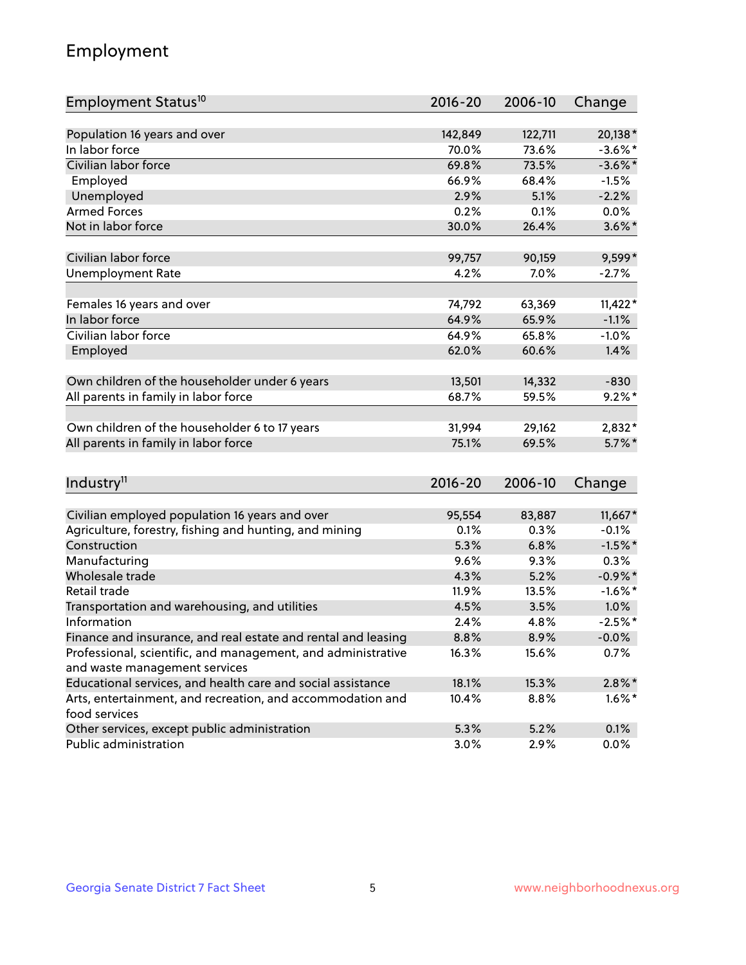## Employment

| Employment Status <sup>10</sup>                               | $2016 - 20$ | 2006-10 | Change     |
|---------------------------------------------------------------|-------------|---------|------------|
|                                                               |             |         |            |
| Population 16 years and over                                  | 142,849     | 122,711 | 20,138*    |
| In labor force                                                | 70.0%       | 73.6%   | $-3.6\%$ * |
| Civilian labor force                                          | 69.8%       | 73.5%   | $-3.6\%$ * |
| Employed                                                      | 66.9%       | 68.4%   | $-1.5%$    |
| Unemployed                                                    | 2.9%        | 5.1%    | $-2.2%$    |
| <b>Armed Forces</b>                                           | 0.2%        | 0.1%    | $0.0\%$    |
| Not in labor force                                            | 30.0%       | 26.4%   | $3.6\%$ *  |
| Civilian labor force                                          | 99,757      | 90,159  | 9,599*     |
| <b>Unemployment Rate</b>                                      | 4.2%        | 7.0%    | $-2.7%$    |
|                                                               |             |         |            |
| Females 16 years and over                                     | 74,792      | 63,369  | $11,422*$  |
| In labor force                                                | 64.9%       | 65.9%   | $-1.1%$    |
| Civilian labor force                                          | 64.9%       | 65.8%   | $-1.0%$    |
| Employed                                                      | 62.0%       | 60.6%   | 1.4%       |
| Own children of the householder under 6 years                 | 13,501      | 14,332  | $-830$     |
| All parents in family in labor force                          | 68.7%       | 59.5%   | $9.2\%$ *  |
|                                                               |             |         |            |
| Own children of the householder 6 to 17 years                 | 31,994      | 29,162  | 2,832*     |
| All parents in family in labor force                          | 75.1%       | 69.5%   | $5.7\%$ *  |
|                                                               |             |         |            |
| Industry <sup>11</sup>                                        | $2016 - 20$ | 2006-10 | Change     |
| Civilian employed population 16 years and over                | 95,554      | 83,887  | 11,667*    |
| Agriculture, forestry, fishing and hunting, and mining        | 0.1%        | 0.3%    | $-0.1%$    |
| Construction                                                  | 5.3%        | 6.8%    | $-1.5%$ *  |
| Manufacturing                                                 | 9.6%        | 9.3%    | 0.3%       |
| Wholesale trade                                               | 4.3%        | 5.2%    | $-0.9\%$ * |
| Retail trade                                                  | 11.9%       | 13.5%   | $-1.6\%$ * |
| Transportation and warehousing, and utilities                 | 4.5%        | 3.5%    | 1.0%       |
| Information                                                   | 2.4%        | 4.8%    | $-2.5%$ *  |
| Finance and insurance, and real estate and rental and leasing | 8.8%        | 8.9%    | $-0.0\%$   |
| Professional, scientific, and management, and administrative  | 16.3%       | 15.6%   | 0.7%       |
| and waste management services                                 |             |         |            |
| Educational services, and health care and social assistance   | 18.1%       | 15.3%   | $2.8\%$ *  |
| Arts, entertainment, and recreation, and accommodation and    | 10.4%       | 8.8%    | $1.6\%$ *  |
| food services                                                 |             |         |            |
| Other services, except public administration                  | 5.3%        | 5.2%    | 0.1%       |
| Public administration                                         | 3.0%        | 2.9%    | $0.0\%$    |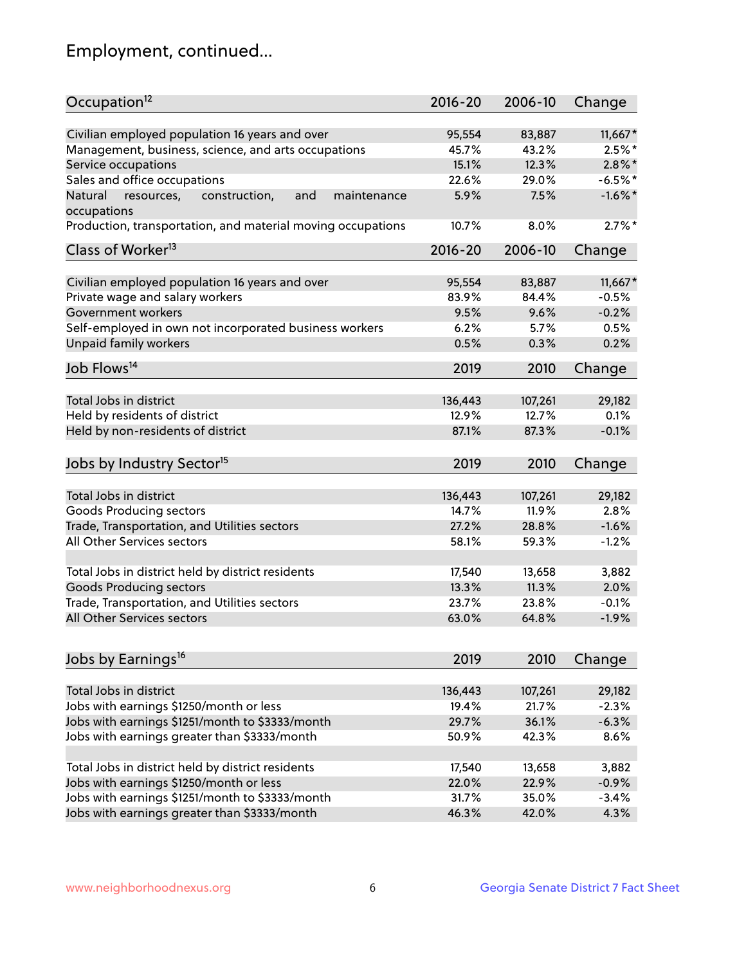## Employment, continued...

| Occupation <sup>12</sup>                                                    | $2016 - 20$ | 2006-10 | Change     |
|-----------------------------------------------------------------------------|-------------|---------|------------|
| Civilian employed population 16 years and over                              | 95,554      | 83,887  | $11,667*$  |
| Management, business, science, and arts occupations                         | 45.7%       | 43.2%   | $2.5\%$ *  |
| Service occupations                                                         | 15.1%       | 12.3%   | $2.8\%$ *  |
| Sales and office occupations                                                | 22.6%       | 29.0%   | $-6.5%$ *  |
|                                                                             |             |         | $-1.6\%$ * |
| Natural<br>and<br>resources,<br>construction,<br>maintenance<br>occupations | 5.9%        | 7.5%    |            |
| Production, transportation, and material moving occupations                 | 10.7%       | 8.0%    | $2.7\%$ *  |
| Class of Worker <sup>13</sup>                                               | $2016 - 20$ | 2006-10 | Change     |
|                                                                             |             |         |            |
| Civilian employed population 16 years and over                              | 95,554      | 83,887  | $11,667*$  |
| Private wage and salary workers                                             | 83.9%       | 84.4%   | $-0.5%$    |
| Government workers                                                          | 9.5%        | 9.6%    | $-0.2%$    |
| Self-employed in own not incorporated business workers                      | 6.2%        | 5.7%    | 0.5%       |
| Unpaid family workers                                                       | 0.5%        | 0.3%    | 0.2%       |
| Job Flows <sup>14</sup>                                                     | 2019        | 2010    | Change     |
|                                                                             |             |         |            |
| Total Jobs in district                                                      | 136,443     | 107,261 | 29,182     |
| Held by residents of district                                               | 12.9%       | 12.7%   | 0.1%       |
| Held by non-residents of district                                           | 87.1%       | 87.3%   | $-0.1%$    |
| Jobs by Industry Sector <sup>15</sup>                                       | 2019        | 2010    | Change     |
|                                                                             |             |         |            |
| Total Jobs in district                                                      | 136,443     | 107,261 | 29,182     |
| Goods Producing sectors                                                     | 14.7%       | 11.9%   | 2.8%       |
| Trade, Transportation, and Utilities sectors                                | 27.2%       | 28.8%   | $-1.6%$    |
| All Other Services sectors                                                  | 58.1%       | 59.3%   | $-1.2%$    |
|                                                                             |             |         |            |
| Total Jobs in district held by district residents                           | 17,540      | 13,658  | 3,882      |
| <b>Goods Producing sectors</b>                                              | 13.3%       | 11.3%   | 2.0%       |
| Trade, Transportation, and Utilities sectors                                | 23.7%       | 23.8%   | $-0.1%$    |
| All Other Services sectors                                                  | 63.0%       | 64.8%   | $-1.9%$    |
|                                                                             |             |         |            |
| Jobs by Earnings <sup>16</sup>                                              | 2019        | 2010    | Change     |
| Total Jobs in district                                                      | 136,443     | 107,261 | 29,182     |
| Jobs with earnings \$1250/month or less                                     | 19.4%       | 21.7%   | $-2.3%$    |
| Jobs with earnings \$1251/month to \$3333/month                             | 29.7%       | 36.1%   | $-6.3%$    |
|                                                                             |             |         |            |
| Jobs with earnings greater than \$3333/month                                | 50.9%       | 42.3%   | 8.6%       |
| Total Jobs in district held by district residents                           | 17,540      | 13,658  | 3,882      |
| Jobs with earnings \$1250/month or less                                     | 22.0%       | 22.9%   | $-0.9%$    |
| Jobs with earnings \$1251/month to \$3333/month                             | 31.7%       | 35.0%   | $-3.4%$    |
| Jobs with earnings greater than \$3333/month                                | 46.3%       | 42.0%   | 4.3%       |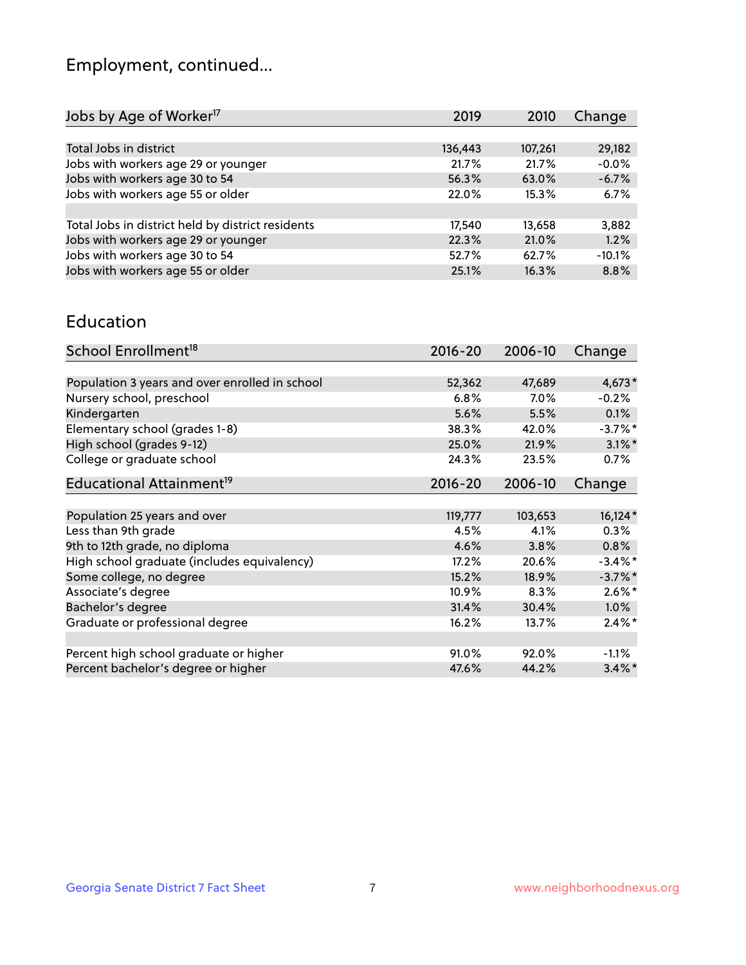## Employment, continued...

| Jobs by Age of Worker <sup>17</sup>               | 2019    | 2010    | Change   |
|---------------------------------------------------|---------|---------|----------|
|                                                   |         |         |          |
| Total Jobs in district                            | 136,443 | 107,261 | 29,182   |
| Jobs with workers age 29 or younger               | 21.7%   | 21.7%   | $-0.0%$  |
| Jobs with workers age 30 to 54                    | 56.3%   | 63.0%   | $-6.7%$  |
| Jobs with workers age 55 or older                 | 22.0%   | 15.3%   | 6.7%     |
|                                                   |         |         |          |
| Total Jobs in district held by district residents | 17,540  | 13,658  | 3,882    |
| Jobs with workers age 29 or younger               | 22.3%   | 21.0%   | 1.2%     |
| Jobs with workers age 30 to 54                    | 52.7%   | 62.7%   | $-10.1%$ |
| Jobs with workers age 55 or older                 | 25.1%   | 16.3%   | 8.8%     |
|                                                   |         |         |          |

#### Education

| School Enrollment <sup>18</sup>                | $2016 - 20$ | 2006-10 | Change     |
|------------------------------------------------|-------------|---------|------------|
|                                                |             |         |            |
| Population 3 years and over enrolled in school | 52,362      | 47,689  | $4,673*$   |
| Nursery school, preschool                      | 6.8%        | $7.0\%$ | $-0.2%$    |
| Kindergarten                                   | 5.6%        | 5.5%    | $0.1\%$    |
| Elementary school (grades 1-8)                 | 38.3%       | 42.0%   | $-3.7\%$ * |
| High school (grades 9-12)                      | 25.0%       | 21.9%   | $3.1\%$ *  |
| College or graduate school                     | 24.3%       | 23.5%   | $0.7\%$    |
| Educational Attainment <sup>19</sup>           | $2016 - 20$ | 2006-10 | Change     |
|                                                |             |         |            |
| Population 25 years and over                   | 119,777     | 103,653 | $16,124*$  |
| Less than 9th grade                            | 4.5%        | 4.1%    | 0.3%       |
| 9th to 12th grade, no diploma                  | 4.6%        | 3.8%    | 0.8%       |
| High school graduate (includes equivalency)    | 17.2%       | 20.6%   | $-3.4\%$ * |
| Some college, no degree                        | 15.2%       | 18.9%   | $-3.7\%$ * |
| Associate's degree                             | 10.9%       | 8.3%    | $2.6\%$ *  |
| Bachelor's degree                              | 31.4%       | 30.4%   | 1.0%       |
| Graduate or professional degree                | 16.2%       | 13.7%   | $2.4\%$ *  |
|                                                |             |         |            |
| Percent high school graduate or higher         | 91.0%       | 92.0%   | $-1.1\%$   |
| Percent bachelor's degree or higher            | 47.6%       | 44.2%   | $3.4\%$ *  |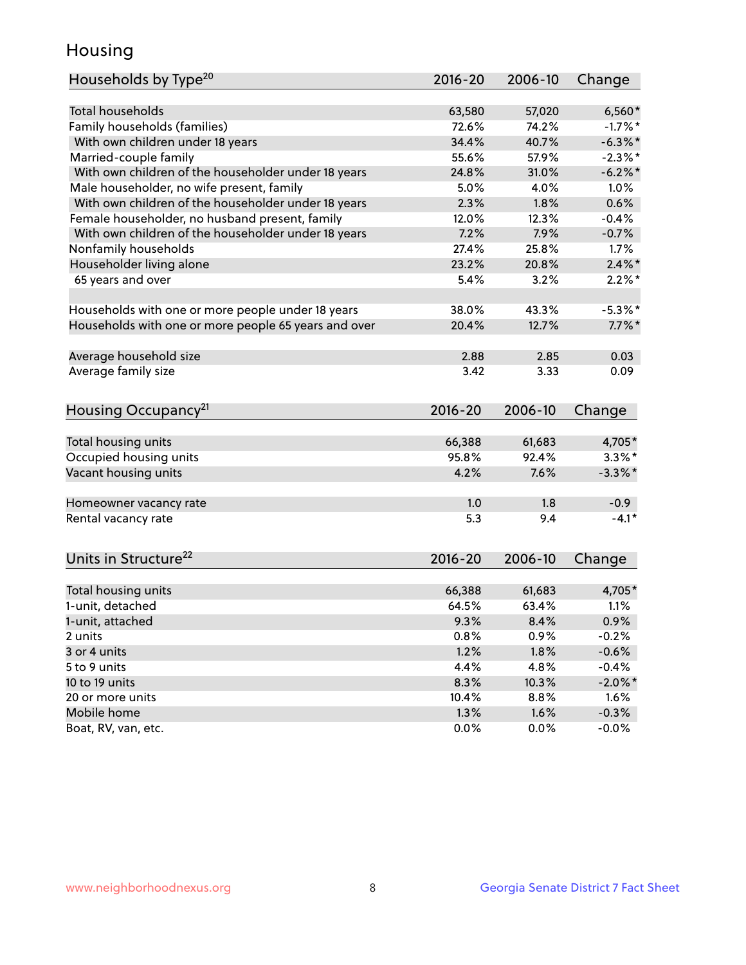## Housing

| Households by Type <sup>20</sup>                     | 2016-20       | 2006-10       | Change             |
|------------------------------------------------------|---------------|---------------|--------------------|
| <b>Total households</b>                              | 63,580        | 57,020        | $6,560*$           |
| Family households (families)                         | 72.6%         | 74.2%         | $-1.7%$ *          |
| With own children under 18 years                     | 34.4%         | 40.7%         | $-6.3\%$ *         |
|                                                      |               |               | $-2.3\%$ *         |
| Married-couple family                                | 55.6%         | 57.9%         |                    |
| With own children of the householder under 18 years  | 24.8%         | 31.0%         | $-6.2\%$ *         |
| Male householder, no wife present, family            | 5.0%          | 4.0%          | 1.0%               |
| With own children of the householder under 18 years  | 2.3%          | 1.8%          | 0.6%               |
| Female householder, no husband present, family       | 12.0%         | 12.3%         | $-0.4%$            |
| With own children of the householder under 18 years  | 7.2%          | 7.9%          | $-0.7%$            |
| Nonfamily households                                 | 27.4%         | 25.8%         | $1.7\%$            |
| Householder living alone                             | 23.2%         | 20.8%         | $2.4\%$ *          |
| 65 years and over                                    | 5.4%          | 3.2%          | $2.2\%$ *          |
| Households with one or more people under 18 years    | 38.0%         | 43.3%         | $-5.3\%$ *         |
| Households with one or more people 65 years and over | 20.4%         | 12.7%         | $7.7\%$ *          |
|                                                      |               |               |                    |
| Average household size                               | 2.88          | 2.85          | 0.03               |
| Average family size                                  | 3.42          | 3.33          | 0.09               |
| Housing Occupancy <sup>21</sup>                      | $2016 - 20$   | 2006-10       | Change             |
|                                                      |               |               |                    |
| Total housing units                                  | 66,388        | 61,683        | 4,705*             |
| Occupied housing units                               | 95.8%         | 92.4%         | $3.3\%$ *          |
| Vacant housing units                                 | 4.2%          | 7.6%          | $-3.3\%$ *         |
| Homeowner vacancy rate                               | 1.0           | 1.8           | $-0.9$             |
| Rental vacancy rate                                  | 5.3           | 9.4           | $-4.1*$            |
|                                                      |               |               |                    |
| Units in Structure <sup>22</sup>                     | 2016-20       | 2006-10       | Change             |
| Total housing units                                  | 66,388        | 61,683        | 4,705*             |
| 1-unit, detached                                     | 64.5%         | 63.4%         | 1.1%               |
| 1-unit, attached                                     | 9.3%          | 8.4%          | 0.9%               |
| 2 units                                              | 0.8%          | 0.9%          | $-0.2%$            |
| 3 or 4 units                                         | 1.2%          | 1.8%          | $-0.6%$            |
| 5 to 9 units                                         | 4.4%          | 4.8%          | $-0.4%$            |
| 10 to 19 units                                       |               |               |                    |
| 20 or more units                                     | 8.3%<br>10.4% | 10.3%<br>8.8% | $-2.0\%$ *<br>1.6% |
| Mobile home                                          | 1.3%          | 1.6%          | $-0.3%$            |
| Boat, RV, van, etc.                                  | 0.0%          | 0.0%          | $-0.0%$            |
|                                                      |               |               |                    |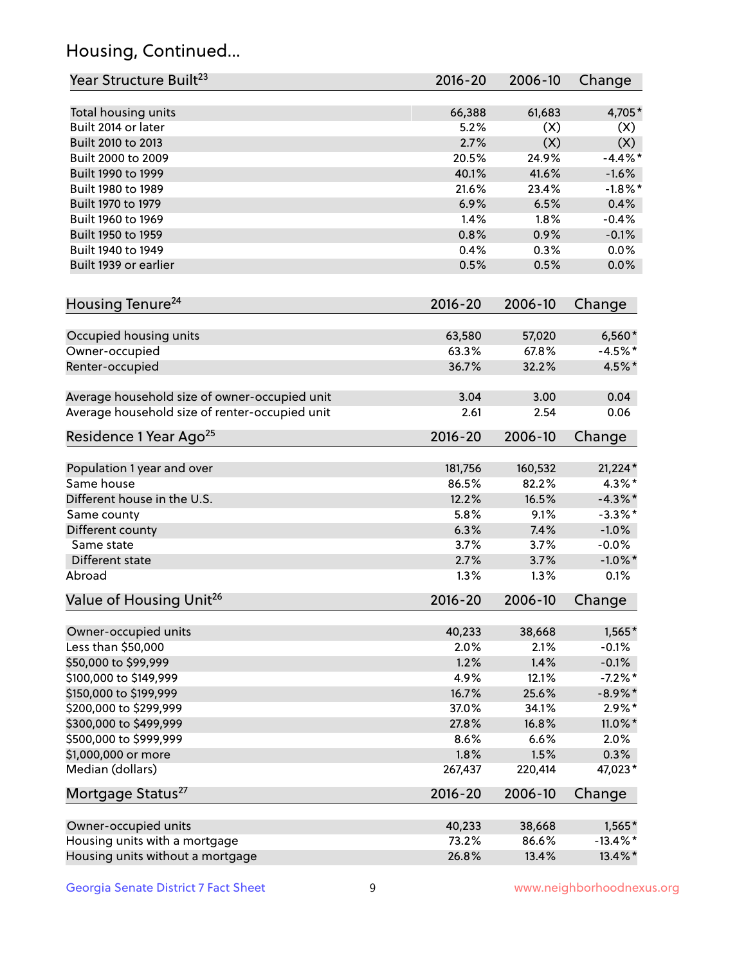## Housing, Continued...

| Year Structure Built <sup>23</sup>             | 2016-20     | 2006-10 | Change      |
|------------------------------------------------|-------------|---------|-------------|
| Total housing units                            | 66,388      | 61,683  | 4,705*      |
| Built 2014 or later                            | 5.2%        | (X)     | (X)         |
| Built 2010 to 2013                             | 2.7%        | (X)     | (X)         |
| Built 2000 to 2009                             | 20.5%       | 24.9%   | $-4.4%$     |
| Built 1990 to 1999                             | 40.1%       | 41.6%   | $-1.6%$     |
| Built 1980 to 1989                             | 21.6%       | 23.4%   | $-1.8\%$ *  |
| Built 1970 to 1979                             | 6.9%        | 6.5%    | 0.4%        |
| Built 1960 to 1969                             | 1.4%        | 1.8%    | $-0.4%$     |
| Built 1950 to 1959                             | 0.8%        | 0.9%    | $-0.1%$     |
| Built 1940 to 1949                             | 0.4%        | 0.3%    | 0.0%        |
|                                                |             |         |             |
| Built 1939 or earlier                          | 0.5%        | 0.5%    | 0.0%        |
| Housing Tenure <sup>24</sup>                   | $2016 - 20$ | 2006-10 | Change      |
| Occupied housing units                         | 63,580      | 57,020  | $6,560*$    |
| Owner-occupied                                 | 63.3%       | 67.8%   | $-4.5%$ *   |
| Renter-occupied                                | 36.7%       | 32.2%   | 4.5%*       |
| Average household size of owner-occupied unit  | 3.04        | 3.00    | 0.04        |
| Average household size of renter-occupied unit | 2.61        | 2.54    | 0.06        |
| Residence 1 Year Ago <sup>25</sup>             | $2016 - 20$ | 2006-10 | Change      |
| Population 1 year and over                     | 181,756     | 160,532 | $21,224*$   |
| Same house                                     | 86.5%       | 82.2%   | $4.3\%$ *   |
| Different house in the U.S.                    | 12.2%       | 16.5%   | $-4.3\%$ *  |
|                                                |             |         |             |
| Same county                                    | 5.8%        | 9.1%    | $-3.3\%$ *  |
| Different county                               | 6.3%        | 7.4%    | $-1.0%$     |
| Same state                                     | 3.7%        | 3.7%    | $-0.0%$     |
| Different state                                | 2.7%        | 3.7%    | $-1.0\%$ *  |
| Abroad                                         | 1.3%        | 1.3%    | 0.1%        |
| Value of Housing Unit <sup>26</sup>            | $2016 - 20$ | 2006-10 | Change      |
| Owner-occupied units                           | 40,233      | 38,668  | $1,565*$    |
| Less than \$50,000                             | 2.0%        | 2.1%    | $-0.1%$     |
| \$50,000 to \$99,999                           | 1.2%        | 1.4%    | $-0.1%$     |
| \$100,000 to \$149,999                         | 4.9%        | 12.1%   | $-7.2%$ *   |
| \$150,000 to \$199,999                         | 16.7%       | 25.6%   | $-8.9\%$ *  |
| \$200,000 to \$299,999                         | 37.0%       | 34.1%   | $2.9\%*$    |
| \$300,000 to \$499,999                         | 27.8%       | 16.8%   | 11.0%*      |
| \$500,000 to \$999,999                         | 8.6%        | 6.6%    | 2.0%        |
| \$1,000,000 or more                            | 1.8%        | 1.5%    | 0.3%        |
| Median (dollars)                               | 267,437     | 220,414 | 47,023*     |
| Mortgage Status <sup>27</sup>                  | $2016 - 20$ | 2006-10 | Change      |
| Owner-occupied units                           | 40,233      | 38,668  | 1,565*      |
| Housing units with a mortgage                  | 73.2%       | 86.6%   | $-13.4\%$ * |
| Housing units without a mortgage               | 26.8%       | 13.4%   | 13.4%*      |
|                                                |             |         |             |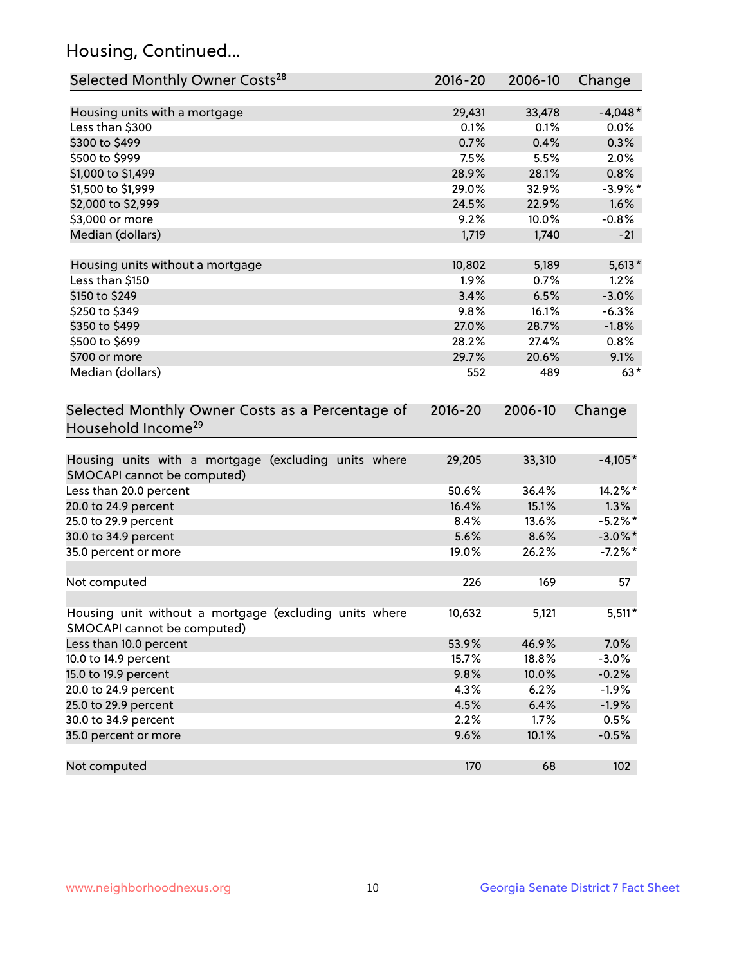## Housing, Continued...

| Selected Monthly Owner Costs <sup>28</sup>                                            | 2016-20 | 2006-10 | Change     |
|---------------------------------------------------------------------------------------|---------|---------|------------|
| Housing units with a mortgage                                                         | 29,431  | 33,478  | $-4,048*$  |
| Less than \$300                                                                       | 0.1%    | 0.1%    | 0.0%       |
| \$300 to \$499                                                                        | 0.7%    | 0.4%    | 0.3%       |
| \$500 to \$999                                                                        | 7.5%    | 5.5%    | 2.0%       |
| \$1,000 to \$1,499                                                                    | 28.9%   | 28.1%   | 0.8%       |
| \$1,500 to \$1,999                                                                    | 29.0%   | 32.9%   | $-3.9\%$ * |
| \$2,000 to \$2,999                                                                    | 24.5%   | 22.9%   | 1.6%       |
| \$3,000 or more                                                                       | 9.2%    | 10.0%   | $-0.8%$    |
| Median (dollars)                                                                      | 1,719   | 1,740   | $-21$      |
| Housing units without a mortgage                                                      | 10,802  | 5,189   | $5,613*$   |
| Less than \$150                                                                       | 1.9%    | 0.7%    | 1.2%       |
| \$150 to \$249                                                                        | 3.4%    | 6.5%    | $-3.0%$    |
| \$250 to \$349                                                                        | 9.8%    | 16.1%   | $-6.3%$    |
| \$350 to \$499                                                                        | 27.0%   | 28.7%   | $-1.8%$    |
| \$500 to \$699                                                                        | 28.2%   | 27.4%   | 0.8%       |
| \$700 or more                                                                         | 29.7%   | 20.6%   | 9.1%       |
| Median (dollars)                                                                      | 552     | 489     | $63*$      |
| Selected Monthly Owner Costs as a Percentage of<br>Household Income <sup>29</sup>     |         |         | Change     |
| Housing units with a mortgage (excluding units where<br>SMOCAPI cannot be computed)   | 29,205  | 33,310  | $-4,105*$  |
| Less than 20.0 percent                                                                | 50.6%   | 36.4%   | 14.2%*     |
| 20.0 to 24.9 percent                                                                  | 16.4%   | 15.1%   | 1.3%       |
| 25.0 to 29.9 percent                                                                  | 8.4%    | 13.6%   | $-5.2\%$ * |
| 30.0 to 34.9 percent                                                                  | 5.6%    | 8.6%    | $-3.0\%$ * |
| 35.0 percent or more                                                                  | 19.0%   | 26.2%   | $-7.2%$ *  |
| Not computed                                                                          | 226     | 169     | 57         |
| Housing unit without a mortgage (excluding units where<br>SMOCAPI cannot be computed) | 10,632  | 5,121   | $5,511*$   |
| Less than 10.0 percent                                                                | 53.9%   | 46.9%   | 7.0%       |
| 10.0 to 14.9 percent                                                                  | 15.7%   | 18.8%   | $-3.0%$    |
| 15.0 to 19.9 percent                                                                  | 9.8%    | 10.0%   | $-0.2%$    |
| 20.0 to 24.9 percent                                                                  | 4.3%    | 6.2%    | $-1.9%$    |
| 25.0 to 29.9 percent                                                                  | 4.5%    | 6.4%    | $-1.9%$    |
| 30.0 to 34.9 percent                                                                  | 2.2%    | 1.7%    | 0.5%       |
| 35.0 percent or more                                                                  | 9.6%    | 10.1%   | $-0.5%$    |
| Not computed                                                                          | 170     | 68      | 102        |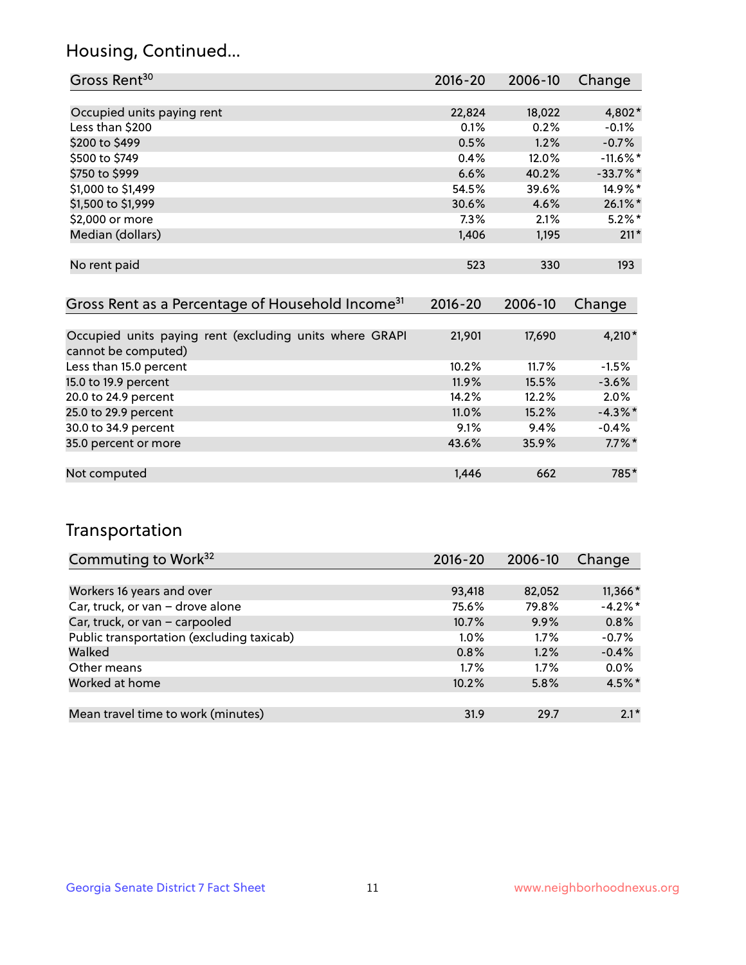## Housing, Continued...

| Gross Rent <sup>30</sup>   | 2016-20 | 2006-10 | Change      |
|----------------------------|---------|---------|-------------|
|                            |         |         |             |
| Occupied units paying rent | 22,824  | 18,022  | 4,802*      |
| Less than \$200            | 0.1%    | 0.2%    | $-0.1%$     |
| \$200 to \$499             | 0.5%    | 1.2%    | $-0.7%$     |
| \$500 to \$749             | 0.4%    | 12.0%   | $-11.6\%$ * |
| \$750 to \$999             | 6.6%    | 40.2%   | $-33.7%$ *  |
| \$1,000 to \$1,499         | 54.5%   | 39.6%   | 14.9%*      |
| \$1,500 to \$1,999         | 30.6%   | 4.6%    | $26.1\%$ *  |
| \$2,000 or more            | 7.3%    | 2.1%    | $5.2\%$ *   |
| Median (dollars)           | 1,406   | 1,195   | $211*$      |
|                            |         |         |             |
| No rent paid               | 523     | 330     | 193         |
|                            |         |         |             |

| Gross Rent as a Percentage of Household Income <sup>31</sup>                   | $2016 - 20$ | 2006-10 | Change     |
|--------------------------------------------------------------------------------|-------------|---------|------------|
|                                                                                |             |         |            |
| Occupied units paying rent (excluding units where GRAPI<br>cannot be computed) | 21,901      | 17,690  | 4,210*     |
| Less than 15.0 percent                                                         | 10.2%       | 11.7%   | $-1.5%$    |
| 15.0 to 19.9 percent                                                           | 11.9%       | 15.5%   | $-3.6%$    |
| 20.0 to 24.9 percent                                                           | 14.2%       | 12.2%   | 2.0%       |
| 25.0 to 29.9 percent                                                           | 11.0%       | 15.2%   | $-4.3\%$ * |
| 30.0 to 34.9 percent                                                           | $9.1\%$     | 9.4%    | $-0.4%$    |
| 35.0 percent or more                                                           | 43.6%       | 35.9%   | $7.7\%$ *  |
|                                                                                |             |         |            |
| Not computed                                                                   | 1,446       | 662     | 785*       |

## Transportation

| Commuting to Work <sup>32</sup>           | 2016-20 | 2006-10 | Change    |
|-------------------------------------------|---------|---------|-----------|
|                                           |         |         |           |
| Workers 16 years and over                 | 93,418  | 82,052  | $11,366*$ |
| Car, truck, or van - drove alone          | 75.6%   | 79.8%   | $-4.2%$   |
| Car, truck, or van - carpooled            | 10.7%   | 9.9%    | 0.8%      |
| Public transportation (excluding taxicab) | $1.0\%$ | $1.7\%$ | $-0.7%$   |
| Walked                                    | 0.8%    | 1.2%    | $-0.4%$   |
| Other means                               | $1.7\%$ | $1.7\%$ | 0.0%      |
| Worked at home                            | 10.2%   | 5.8%    | 4.5%*     |
|                                           |         |         |           |
| Mean travel time to work (minutes)        | 31.9    | 29.7    | $2.1*$    |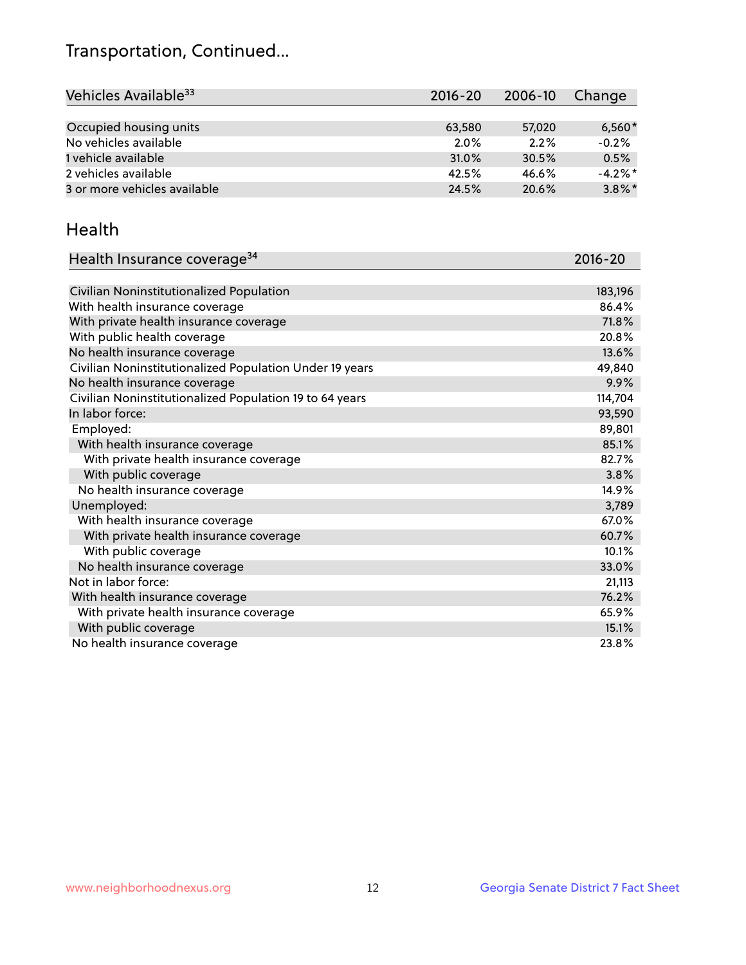## Transportation, Continued...

| Vehicles Available <sup>33</sup> | $2016 - 20$ | 2006-10 | Change     |
|----------------------------------|-------------|---------|------------|
|                                  |             |         |            |
| Occupied housing units           | 63,580      | 57,020  | $6,560*$   |
| No vehicles available            | $2.0\%$     | 2.2%    | $-0.2%$    |
| 1 vehicle available              | 31.0%       | 30.5%   | 0.5%       |
| 2 vehicles available             | 42.5%       | 46.6%   | $-4.2\%$ * |
| 3 or more vehicles available     | 24.5%       | 20.6%   | $3.8\%$ *  |

#### Health

| Health Insurance coverage <sup>34</sup>                 | 2016-20 |
|---------------------------------------------------------|---------|
|                                                         |         |
| Civilian Noninstitutionalized Population                | 183,196 |
| With health insurance coverage                          | 86.4%   |
| With private health insurance coverage                  | 71.8%   |
| With public health coverage                             | 20.8%   |
| No health insurance coverage                            | 13.6%   |
| Civilian Noninstitutionalized Population Under 19 years | 49,840  |
| No health insurance coverage                            | 9.9%    |
| Civilian Noninstitutionalized Population 19 to 64 years | 114,704 |
| In labor force:                                         | 93,590  |
| Employed:                                               | 89,801  |
| With health insurance coverage                          | 85.1%   |
| With private health insurance coverage                  | 82.7%   |
| With public coverage                                    | 3.8%    |
| No health insurance coverage                            | 14.9%   |
| Unemployed:                                             | 3,789   |
| With health insurance coverage                          | 67.0%   |
| With private health insurance coverage                  | 60.7%   |
| With public coverage                                    | 10.1%   |
| No health insurance coverage                            | 33.0%   |
| Not in labor force:                                     | 21,113  |
| With health insurance coverage                          | 76.2%   |
| With private health insurance coverage                  | 65.9%   |
| With public coverage                                    | 15.1%   |
| No health insurance coverage                            | 23.8%   |